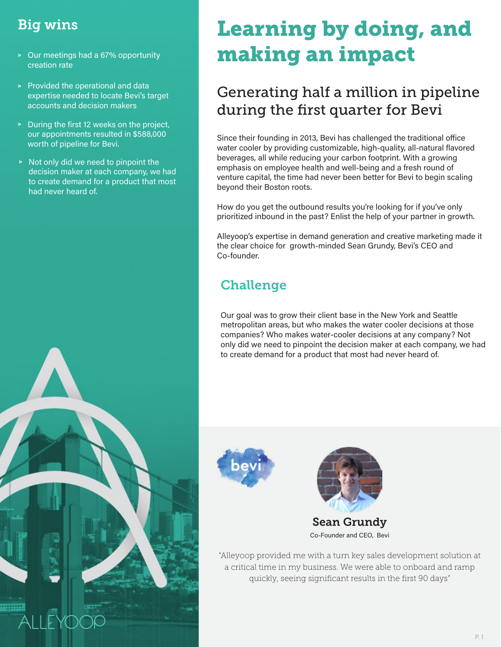### Big wins

- Our meetings had a 67% opportunity creation rate
- $\triangleright$  Provided the operational and data expertise needed to locate Bevi's target accounts and decision makers
- $\triangleright$  During the first 12 weeks on the project, our appointments resulted in \$588,000 worth of pipeline for Bevi.
- $\triangleright$  Not only did we need to pinpoint the decision maker at each company, we had to create demand for a product that most had never heard of.

# Learning by doing, and making an impact

# Generating half a million in pipeline during the first quarter for Bevi

Since their founding in 2013, Bevi has challenged the traditional office water cooler by providing customizable, high-quality, all-natural flavored beverages, all while reducing your carbon footprint. With a growing emphasis on employee health and well-being and a fresh round of venture capital, the time had never been better for Bevi to begin scaling beyond their Boston roots.

How do you get the outbound results you're looking for if you've only prioritized inbound in the past? Enlist the help of your partner in growth.

Alleyoop's expertise in demand generation and creative marketing made it the clear choice for growth-minded Sean Grundy, Bevi's CEO and Co-founder.

# **Challenge**

Our goal was to grow their client base in the New York and Seattle metropolitan areas, but who makes the water cooler decisions at those companies? Who makes water-cooler decisions at any company? Not only did we need to pinpoint the decision maker at each company, we had to create demand for a product that most had never heard of.





Co-Founder and CEO, Bevi

"Alleyoop provided me with a turn key sales development solution at a critical time in my business. We were able to onboard and ramp quickly, seeing significant results in the first 90 days"